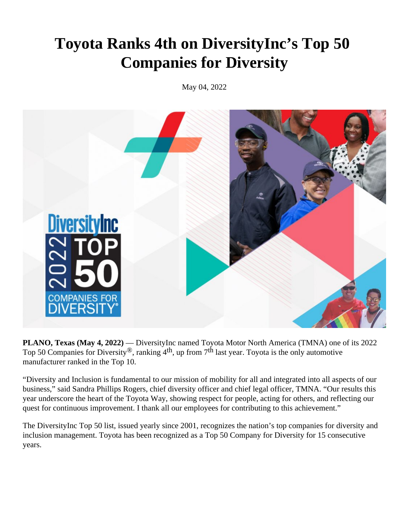## **Toyota Ranks 4th on DiversityInc's Top 50 Companies for Diversity**

May 04, 2022



**PLANO, Texas (May 4, 2022)** — DiversityInc named Toyota Motor North America (TMNA) one of its 2022 Top 50 Companies for Diversity<sup>®</sup>, ranking  $4<sup>th</sup>$ , up from  $7<sup>th</sup>$  last year. Toyota is the only automotive manufacturer ranked in the Top 10.

"Diversity and Inclusion is fundamental to our mission of mobility for all and integrated into all aspects of our business," said Sandra Phillips Rogers, chief diversity officer and chief legal officer, TMNA. "Our results this year underscore the heart of the Toyota Way, showing respect for people, acting for others, and reflecting our quest for continuous improvement. I thank all our employees for contributing to this achievement."

The DiversityInc Top 50 list, issued yearly since 2001, recognizes the nation's top companies for diversity and inclusion management. Toyota has been recognized as a Top 50 Company for Diversity for 15 consecutive years.